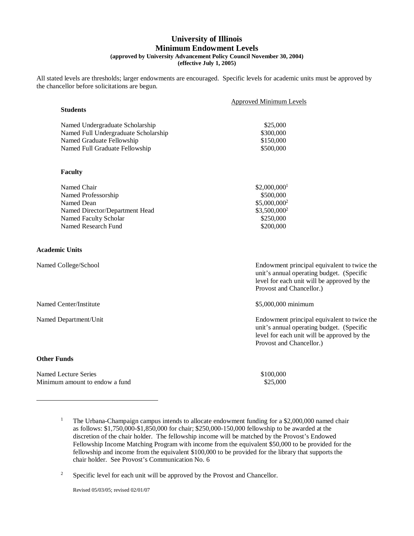#### **University of Illinois Minimum Endowment Levels (approved by University Advancement Policy Council November 30, 2004) (effective July 1, 2005)**

All stated levels are thresholds; larger endowments are encouraged. Specific levels for academic units must be approved by the chancellor before solicitations are begun.

|                                      | <b>Approved Minimum Levels</b> |  |
|--------------------------------------|--------------------------------|--|
| <b>Students</b>                      |                                |  |
| Named Undergraduate Scholarship      | \$25,000                       |  |
| Named Full Undergraduate Scholarship | \$300,000                      |  |
| Named Graduate Fellowship            | \$150,000                      |  |
| Named Full Graduate Fellowship       | \$500,000                      |  |
|                                      |                                |  |
|                                      |                                |  |
| <b>Faculty</b>                       |                                |  |

| $\overline{\phantom{a}}$ |
|--------------------------|
|                          |
|                          |
|                          |

| Named Chair                    | $$2,000,000$ <sup>1</sup> |
|--------------------------------|---------------------------|
| Named Professorship            | \$500,000                 |
| Named Dean                     | $$5,000,000^2$            |
| Named Director/Department Head | $$3,500,000^2$            |
| Named Faculty Scholar          | \$250,000                 |
| Named Research Fund            | \$200,000                 |
|                                |                           |

#### **Academic Units**

| Named College/School   | Endowment principal equivalent to twice the<br>unit's annual operating budget. (Specific<br>level for each unit will be approved by the<br>Provost and Chancellor.) |
|------------------------|---------------------------------------------------------------------------------------------------------------------------------------------------------------------|
| Named Center/Institute | \$5,000,000 minimum                                                                                                                                                 |
| Named Department/Unit  | Endowment principal equivalent to twice the<br>unit's annual operating budget. (Specific<br>level for each unit will be approved by the<br>Provost and Chancellor.) |
| <b>Other Funds</b>     |                                                                                                                                                                     |

Named Lecture Series  $$100,000$ Minimum amount to endow a fund \$25,000

Revised 05/03/05; revised 02/01/07

<sup>&</sup>lt;sup>1</sup> The Urbana-Champaign campus intends to allocate endowment funding for a \$2,000,000 named chair as follows: \$1,750,000-\$1,850,000 for chair; \$250,000-150,000 fellowship to be awarded at the discretion of the chair holder. The fellowship income will be matched by the Provost's Endowed Fellowship Income Matching Program with income from the equivalent \$50,000 to be provided for the fellowship and income from the equivalent \$100,000 to be provided for the library that supports the chair holder. See Provost's Communication No. 6

<sup>&</sup>lt;sup>2</sup> Specific level for each unit will be approved by the Provost and Chancellor.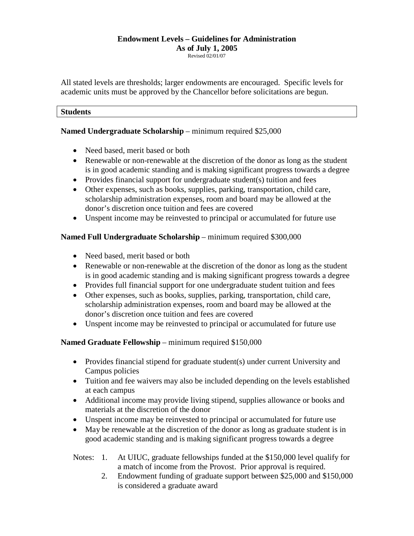# **Endowment Levels – Guidelines for Administration As of July 1, 2005**

Revised 02/01/07

All stated levels are thresholds; larger endowments are encouraged. Specific levels for academic units must be approved by the Chancellor before solicitations are begun.

#### **Students**

#### **Named Undergraduate Scholarship** – minimum required \$25,000

- Need based, merit based or both
- Renewable or non-renewable at the discretion of the donor as long as the student is in good academic standing and is making significant progress towards a degree
- Provides financial support for undergraduate student(s) tuition and fees
- Other expenses, such as books, supplies, parking, transportation, child care, scholarship administration expenses, room and board may be allowed at the donor's discretion once tuition and fees are covered
- Unspent income may be reinvested to principal or accumulated for future use

#### **Named Full Undergraduate Scholarship** – minimum required \$300,000

- Need based, merit based or both
- Renewable or non-renewable at the discretion of the donor as long as the student is in good academic standing and is making significant progress towards a degree
- Provides full financial support for one undergraduate student tuition and fees
- Other expenses, such as books, supplies, parking, transportation, child care, scholarship administration expenses, room and board may be allowed at the donor's discretion once tuition and fees are covered
- Unspent income may be reinvested to principal or accumulated for future use

#### **Named Graduate Fellowship** – minimum required \$150,000

- Provides financial stipend for graduate student(s) under current University and Campus policies
- Tuition and fee waivers may also be included depending on the levels established at each campus
- Additional income may provide living stipend, supplies allowance or books and materials at the discretion of the donor
- Unspent income may be reinvested to principal or accumulated for future use
- May be renewable at the discretion of the donor as long as graduate student is in good academic standing and is making significant progress towards a degree

# Notes: 1. At UIUC, graduate fellowships funded at the \$150,000 level qualify for a match of income from the Provost. Prior approval is required.

2. Endowment funding of graduate support between \$25,000 and \$150,000 is considered a graduate award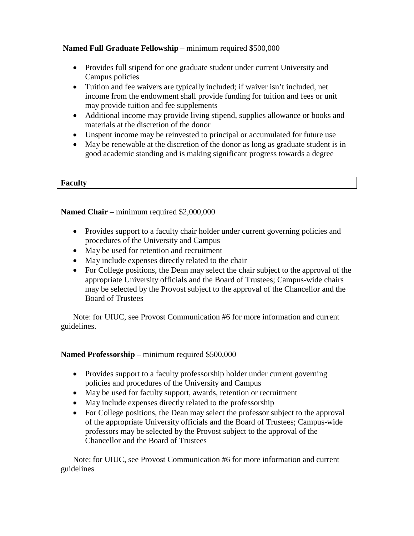# **Named Full Graduate Fellowship** – minimum required \$500,000

- Provides full stipend for one graduate student under current University and Campus policies
- Tuition and fee waivers are typically included; if waiver isn't included, net income from the endowment shall provide funding for tuition and fees or unit may provide tuition and fee supplements
- Additional income may provide living stipend, supplies allowance or books and materials at the discretion of the donor
- Unspent income may be reinvested to principal or accumulated for future use
- May be renewable at the discretion of the donor as long as graduate student is in good academic standing and is making significant progress towards a degree

#### **Faculty**

**Named Chair** – minimum required \$2,000,000

- Provides support to a faculty chair holder under current governing policies and procedures of the University and Campus
- May be used for retention and recruitment
- May include expenses directly related to the chair
- For College positions, the Dean may select the chair subject to the approval of the appropriate University officials and the Board of Trustees; Campus-wide chairs may be selected by the Provost subject to the approval of the Chancellor and the Board of Trustees

Note: for UIUC, see Provost Communication #6 for more information and current guidelines.

# **Named Professorship** – minimum required \$500,000

- Provides support to a faculty professorship holder under current governing policies and procedures of the University and Campus
- May be used for faculty support, awards, retention or recruitment
- May include expenses directly related to the professorship
- For College positions, the Dean may select the professor subject to the approval of the appropriate University officials and the Board of Trustees; Campus-wide professors may be selected by the Provost subject to the approval of the Chancellor and the Board of Trustees

Note: for UIUC, see Provost Communication #6 for more information and current guidelines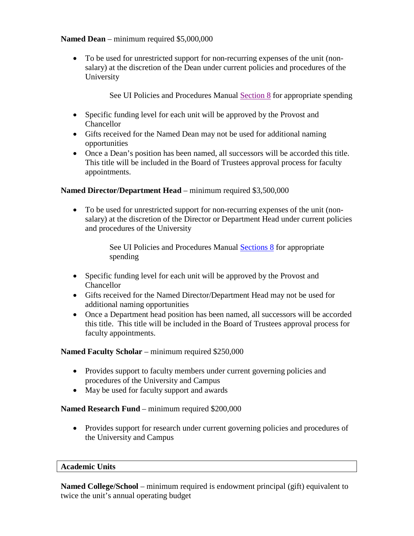# **Named Dean** – minimum required \$5,000,000

• To be used for unrestricted support for non-recurring expenses of the unit (nonsalary) at the discretion of the Dean under current policies and procedures of the University

See UI Policies and Procedures Manual [Section 8](https://www.obfs.uillinois.edu/bfpp/section-8-payments-reimbursements/) for appropriate spending

- Specific funding level for each unit will be approved by the Provost and Chancellor
- Gifts received for the Named Dean may not be used for additional naming opportunities
- Once a Dean's position has been named, all successors will be accorded this title. This title will be included in the Board of Trustees approval process for faculty appointments.

#### **Named Director/Department Head** – minimum required \$3,500,000

• To be used for unrestricted support for non-recurring expenses of the unit (nonsalary) at the discretion of the Director or Department Head under current policies and procedures of the University

> See UI Policies and Procedures Manual [Sections 8](https://www.obfs.uillinois.edu/bfpp/section-8-payments-reimbursements/) for appropriate spending

- Specific funding level for each unit will be approved by the Provost and **Chancellor**
- Gifts received for the Named Director/Department Head may not be used for additional naming opportunities
- Once a Department head position has been named, all successors will be accorded this title. This title will be included in the Board of Trustees approval process for faculty appointments.

**Named Faculty Scholar** – minimum required \$250,000

- Provides support to faculty members under current governing policies and procedures of the University and Campus
- May be used for faculty support and awards

# **Named Research Fund** – minimum required \$200,000

• Provides support for research under current governing policies and procedures of the University and Campus

#### **Academic Units**

**Named College/School** – minimum required is endowment principal (gift) equivalent to twice the unit's annual operating budget